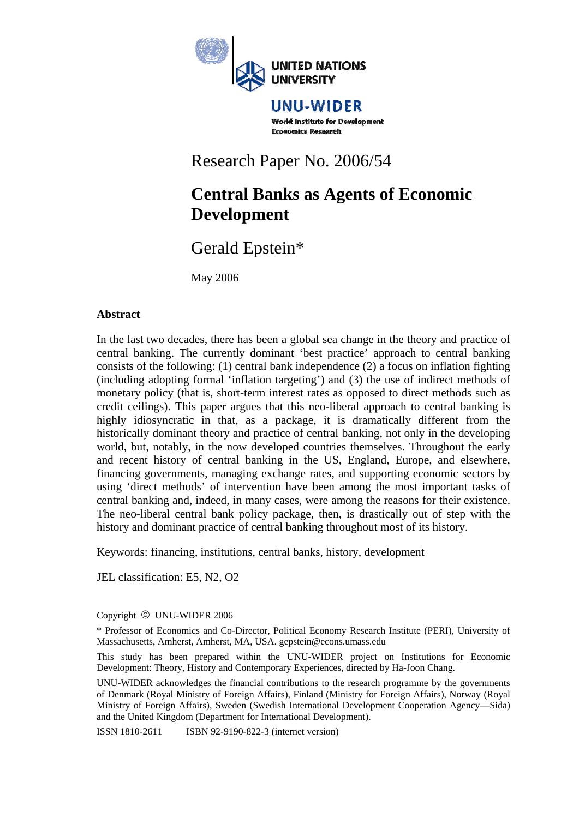

#### UNU-WIDER **World Institute for Development Economics Research**

# Research Paper No. 2006/54

## **Central Banks as Agents of Economic Development**

Gerald Epstein\*

May 2006

## **Abstract**

In the last two decades, there has been a global sea change in the theory and practice of central banking. The currently dominant 'best practice' approach to central banking consists of the following: (1) central bank independence (2) a focus on inflation fighting (including adopting formal 'inflation targeting') and (3) the use of indirect methods of monetary policy (that is, short-term interest rates as opposed to direct methods such as credit ceilings). This paper argues that this neo-liberal approach to central banking is highly idiosyncratic in that, as a package, it is dramatically different from the historically dominant theory and practice of central banking, not only in the developing world, but, notably, in the now developed countries themselves. Throughout the early and recent history of central banking in the US, England, Europe, and elsewhere, financing governments, managing exchange rates, and supporting economic sectors by using 'direct methods' of intervention have been among the most important tasks of central banking and, indeed, in many cases, were among the reasons for their existence. The neo-liberal central bank policy package, then, is drastically out of step with the history and dominant practice of central banking throughout most of its history.

Keywords: financing, institutions, central banks, history, development

JEL classification: E5, N2, O2

Copyright © UNU-WIDER 2006

\* Professor of Economics and Co-Director, Political Economy Research Institute (PERI), University of Massachusetts, Amherst, Amherst, MA, USA. gepstein@econs.umass.edu

This study has been prepared within the UNU-WIDER project on Institutions for Economic Development: Theory, History and Contemporary Experiences, directed by Ha-Joon Chang.

UNU-WIDER acknowledges the financial contributions to the research programme by the governments of Denmark (Royal Ministry of Foreign Affairs), Finland (Ministry for Foreign Affairs), Norway (Royal Ministry of Foreign Affairs), Sweden (Swedish International Development Cooperation Agency—Sida) and the United Kingdom (Department for International Development).

ISSN 1810-2611 ISBN 92-9190-822-3 (internet version)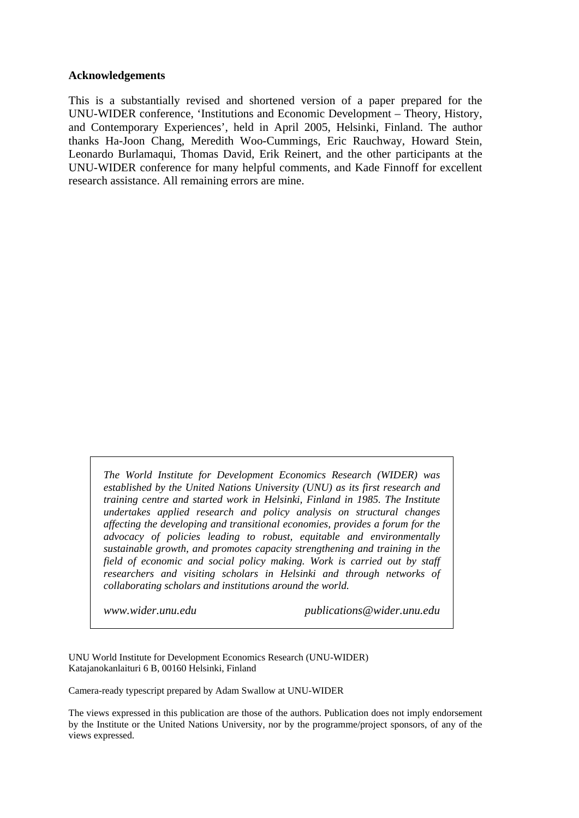#### **Acknowledgements**

This is a substantially revised and shortened version of a paper prepared for the UNU-WIDER conference, 'Institutions and Economic Development – Theory, History, and Contemporary Experiences', held in April 2005, Helsinki, Finland. The author thanks Ha-Joon Chang, Meredith Woo-Cummings, Eric Rauchway, Howard Stein, Leonardo Burlamaqui, Thomas David, Erik Reinert, and the other participants at the UNU-WIDER conference for many helpful comments, and Kade Finnoff for excellent research assistance. All remaining errors are mine.

*The World Institute for Development Economics Research (WIDER) was established by the United Nations University (UNU) as its first research and training centre and started work in Helsinki, Finland in 1985. The Institute undertakes applied research and policy analysis on structural changes affecting the developing and transitional economies, provides a forum for the advocacy of policies leading to robust, equitable and environmentally sustainable growth, and promotes capacity strengthening and training in the field of economic and social policy making. Work is carried out by staff researchers and visiting scholars in Helsinki and through networks of collaborating scholars and institutions around the world.* 

*www.wider.unu.edu publications@wider.unu.edu* 

UNU World Institute for Development Economics Research (UNU-WIDER) Katajanokanlaituri 6 B, 00160 Helsinki, Finland

Camera-ready typescript prepared by Adam Swallow at UNU-WIDER

The views expressed in this publication are those of the authors. Publication does not imply endorsement by the Institute or the United Nations University, nor by the programme/project sponsors, of any of the views expressed.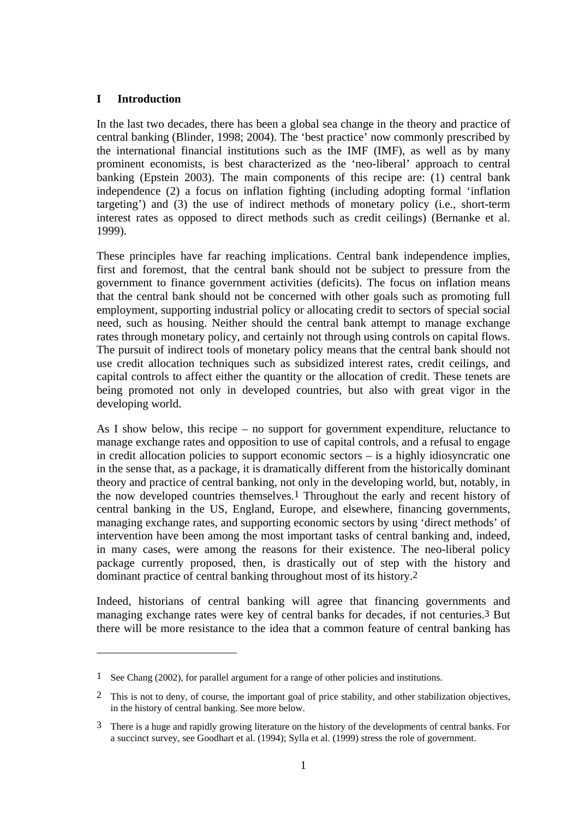## **I Introduction**

<u>.</u>

In the last two decades, there has been a global sea change in the theory and practice of central banking (Blinder, 1998; 2004). The 'best practice' now commonly prescribed by the international financial institutions such as the IMF (IMF), as well as by many prominent economists, is best characterized as the 'neo-liberal' approach to central banking (Epstein 2003). The main components of this recipe are: (1) central bank independence (2) a focus on inflation fighting (including adopting formal 'inflation targeting') and (3) the use of indirect methods of monetary policy (i.e., short-term interest rates as opposed to direct methods such as credit ceilings) (Bernanke et al. 1999).

These principles have far reaching implications. Central bank independence implies, first and foremost, that the central bank should not be subject to pressure from the government to finance government activities (deficits). The focus on inflation means that the central bank should not be concerned with other goals such as promoting full employment, supporting industrial policy or allocating credit to sectors of special social need, such as housing. Neither should the central bank attempt to manage exchange rates through monetary policy, and certainly not through using controls on capital flows. The pursuit of indirect tools of monetary policy means that the central bank should not use credit allocation techniques such as subsidized interest rates, credit ceilings, and capital controls to affect either the quantity or the allocation of credit. These tenets are being promoted not only in developed countries, but also with great vigor in the developing world.

As I show below, this recipe – no support for government expenditure, reluctance to manage exchange rates and opposition to use of capital controls, and a refusal to engage in credit allocation policies to support economic sectors – is a highly idiosyncratic one in the sense that, as a package, it is dramatically different from the historically dominant theory and practice of central banking, not only in the developing world, but, notably, in the now developed countries themselves.1 Throughout the early and recent history of central banking in the US, England, Europe, and elsewhere, financing governments, managing exchange rates, and supporting economic sectors by using 'direct methods' of intervention have been among the most important tasks of central banking and, indeed, in many cases, were among the reasons for their existence. The neo-liberal policy package currently proposed, then, is drastically out of step with the history and dominant practice of central banking throughout most of its history.2

Indeed, historians of central banking will agree that financing governments and managing exchange rates were key of central banks for decades, if not centuries.3 But there will be more resistance to the idea that a common feature of central banking has

<sup>1</sup> See Chang (2002), for parallel argument for a range of other policies and institutions.

<sup>2</sup> This is not to deny, of course, the important goal of price stability, and other stabilization objectives, in the history of central banking. See more below.

<sup>3</sup> There is a huge and rapidly growing literature on the history of the developments of central banks. For a succinct survey, see Goodhart et al. (1994); Sylla et al. (1999) stress the role of government.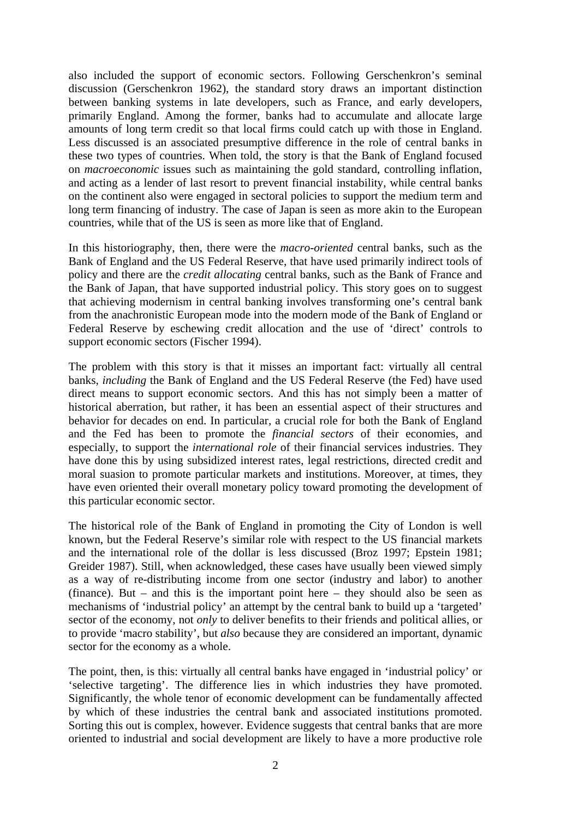also included the support of economic sectors. Following Gerschenkron's seminal discussion (Gerschenkron 1962), the standard story draws an important distinction between banking systems in late developers, such as France, and early developers, primarily England. Among the former, banks had to accumulate and allocate large amounts of long term credit so that local firms could catch up with those in England. Less discussed is an associated presumptive difference in the role of central banks in these two types of countries. When told, the story is that the Bank of England focused on *macroeconomic* issues such as maintaining the gold standard, controlling inflation, and acting as a lender of last resort to prevent financial instability, while central banks on the continent also were engaged in sectoral policies to support the medium term and long term financing of industry. The case of Japan is seen as more akin to the European countries, while that of the US is seen as more like that of England.

In this historiography, then, there were the *macro-oriented* central banks, such as the Bank of England and the US Federal Reserve, that have used primarily indirect tools of policy and there are the *credit allocating* central banks, such as the Bank of France and the Bank of Japan, that have supported industrial policy. This story goes on to suggest that achieving modernism in central banking involves transforming one's central bank from the anachronistic European mode into the modern mode of the Bank of England or Federal Reserve by eschewing credit allocation and the use of 'direct' controls to support economic sectors (Fischer 1994).

The problem with this story is that it misses an important fact: virtually all central banks, *including* the Bank of England and the US Federal Reserve (the Fed) have used direct means to support economic sectors. And this has not simply been a matter of historical aberration, but rather, it has been an essential aspect of their structures and behavior for decades on end. In particular, a crucial role for both the Bank of England and the Fed has been to promote the *financial sectors* of their economies, and especially, to support the *international role* of their financial services industries. They have done this by using subsidized interest rates, legal restrictions, directed credit and moral suasion to promote particular markets and institutions. Moreover, at times, they have even oriented their overall monetary policy toward promoting the development of this particular economic sector.

The historical role of the Bank of England in promoting the City of London is well known, but the Federal Reserve's similar role with respect to the US financial markets and the international role of the dollar is less discussed (Broz 1997; Epstein 1981; Greider 1987). Still, when acknowledged, these cases have usually been viewed simply as a way of re-distributing income from one sector (industry and labor) to another (finance). But – and this is the important point here – they should also be seen as mechanisms of 'industrial policy' an attempt by the central bank to build up a 'targeted' sector of the economy, not *only* to deliver benefits to their friends and political allies, or to provide 'macro stability', but *also* because they are considered an important, dynamic sector for the economy as a whole.

The point, then, is this: virtually all central banks have engaged in 'industrial policy' or 'selective targeting'. The difference lies in which industries they have promoted. Significantly, the whole tenor of economic development can be fundamentally affected by which of these industries the central bank and associated institutions promoted. Sorting this out is complex, however. Evidence suggests that central banks that are more oriented to industrial and social development are likely to have a more productive role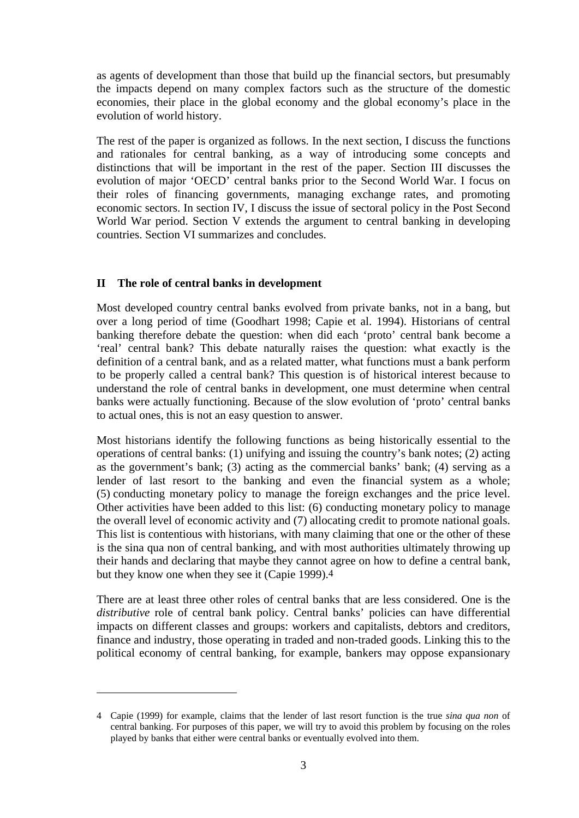as agents of development than those that build up the financial sectors, but presumably the impacts depend on many complex factors such as the structure of the domestic economies, their place in the global economy and the global economy's place in the evolution of world history.

The rest of the paper is organized as follows. In the next section, I discuss the functions and rationales for central banking, as a way of introducing some concepts and distinctions that will be important in the rest of the paper. Section III discusses the evolution of major 'OECD' central banks prior to the Second World War. I focus on their roles of financing governments, managing exchange rates, and promoting economic sectors. In section IV, I discuss the issue of sectoral policy in the Post Second World War period. Section V extends the argument to central banking in developing countries. Section VI summarizes and concludes.

## **II The role of central banks in development**

1

Most developed country central banks evolved from private banks, not in a bang, but over a long period of time (Goodhart 1998; Capie et al. 1994). Historians of central banking therefore debate the question: when did each 'proto' central bank become a 'real' central bank? This debate naturally raises the question: what exactly is the definition of a central bank, and as a related matter, what functions must a bank perform to be properly called a central bank? This question is of historical interest because to understand the role of central banks in development, one must determine when central banks were actually functioning. Because of the slow evolution of 'proto' central banks to actual ones, this is not an easy question to answer.

Most historians identify the following functions as being historically essential to the operations of central banks: (1) unifying and issuing the country's bank notes; (2) acting as the government's bank; (3) acting as the commercial banks' bank; (4) serving as a lender of last resort to the banking and even the financial system as a whole; (5) conducting monetary policy to manage the foreign exchanges and the price level. Other activities have been added to this list: (6) conducting monetary policy to manage the overall level of economic activity and (7) allocating credit to promote national goals. This list is contentious with historians, with many claiming that one or the other of these is the sina qua non of central banking, and with most authorities ultimately throwing up their hands and declaring that maybe they cannot agree on how to define a central bank, but they know one when they see it (Capie 1999).4

There are at least three other roles of central banks that are less considered. One is the *distributive* role of central bank policy. Central banks' policies can have differential impacts on different classes and groups: workers and capitalists, debtors and creditors, finance and industry, those operating in traded and non-traded goods. Linking this to the political economy of central banking, for example, bankers may oppose expansionary

<sup>4</sup> Capie (1999) for example, claims that the lender of last resort function is the true *sina qua non* of central banking. For purposes of this paper, we will try to avoid this problem by focusing on the roles played by banks that either were central banks or eventually evolved into them.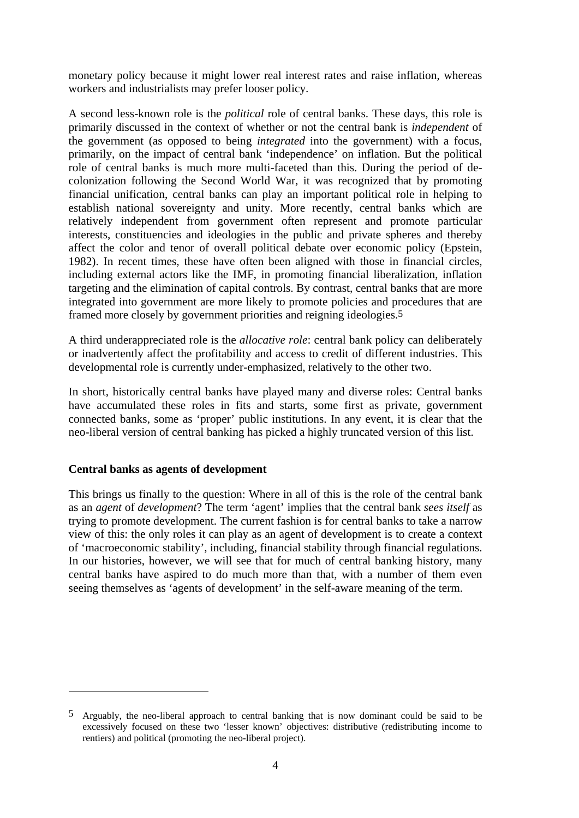monetary policy because it might lower real interest rates and raise inflation, whereas workers and industrialists may prefer looser policy.

A second less-known role is the *political* role of central banks. These days, this role is primarily discussed in the context of whether or not the central bank is *independent* of the government (as opposed to being *integrated* into the government) with a focus, primarily, on the impact of central bank 'independence' on inflation. But the political role of central banks is much more multi-faceted than this. During the period of decolonization following the Second World War, it was recognized that by promoting financial unification, central banks can play an important political role in helping to establish national sovereignty and unity. More recently, central banks which are relatively independent from government often represent and promote particular interests, constituencies and ideologies in the public and private spheres and thereby affect the color and tenor of overall political debate over economic policy (Epstein, 1982). In recent times, these have often been aligned with those in financial circles, including external actors like the IMF, in promoting financial liberalization, inflation targeting and the elimination of capital controls. By contrast, central banks that are more integrated into government are more likely to promote policies and procedures that are framed more closely by government priorities and reigning ideologies.5

A third underappreciated role is the *allocative role*: central bank policy can deliberately or inadvertently affect the profitability and access to credit of different industries. This developmental role is currently under-emphasized, relatively to the other two.

In short, historically central banks have played many and diverse roles: Central banks have accumulated these roles in fits and starts, some first as private, government connected banks, some as 'proper' public institutions. In any event, it is clear that the neo-liberal version of central banking has picked a highly truncated version of this list.

#### **Central banks as agents of development**

 $\overline{a}$ 

This brings us finally to the question: Where in all of this is the role of the central bank as an *agent* of *development*? The term 'agent' implies that the central bank *sees itself* as trying to promote development. The current fashion is for central banks to take a narrow view of this: the only roles it can play as an agent of development is to create a context of 'macroeconomic stability', including, financial stability through financial regulations. In our histories, however, we will see that for much of central banking history, many central banks have aspired to do much more than that, with a number of them even seeing themselves as 'agents of development' in the self-aware meaning of the term.

<sup>5</sup> Arguably, the neo-liberal approach to central banking that is now dominant could be said to be excessively focused on these two 'lesser known' objectives: distributive (redistributing income to rentiers) and political (promoting the neo-liberal project).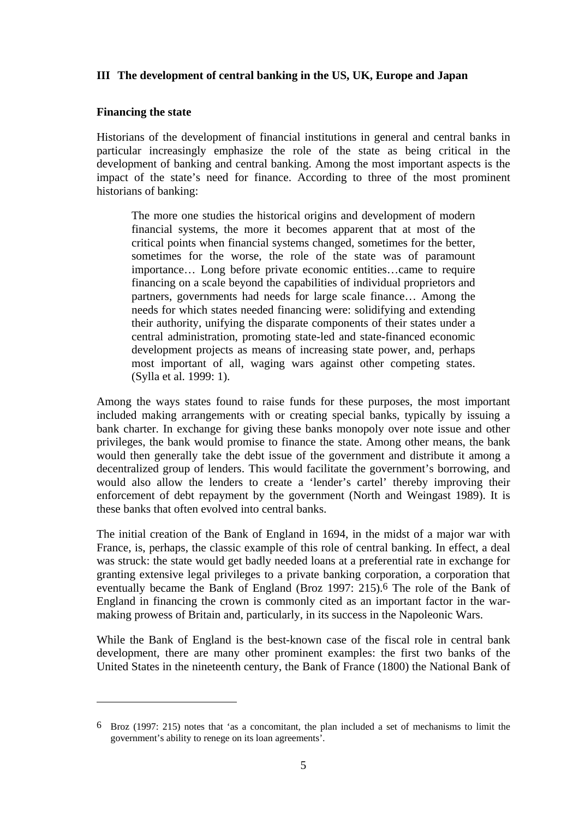### **III The development of central banking in the US, UK, Europe and Japan**

#### **Financing the state**

<u>.</u>

Historians of the development of financial institutions in general and central banks in particular increasingly emphasize the role of the state as being critical in the development of banking and central banking. Among the most important aspects is the impact of the state's need for finance. According to three of the most prominent historians of banking:

The more one studies the historical origins and development of modern financial systems, the more it becomes apparent that at most of the critical points when financial systems changed, sometimes for the better, sometimes for the worse, the role of the state was of paramount importance… Long before private economic entities…came to require financing on a scale beyond the capabilities of individual proprietors and partners, governments had needs for large scale finance… Among the needs for which states needed financing were: solidifying and extending their authority, unifying the disparate components of their states under a central administration, promoting state-led and state-financed economic development projects as means of increasing state power, and, perhaps most important of all, waging wars against other competing states. (Sylla et al. 1999: 1).

Among the ways states found to raise funds for these purposes, the most important included making arrangements with or creating special banks, typically by issuing a bank charter. In exchange for giving these banks monopoly over note issue and other privileges, the bank would promise to finance the state. Among other means, the bank would then generally take the debt issue of the government and distribute it among a decentralized group of lenders. This would facilitate the government's borrowing, and would also allow the lenders to create a 'lender's cartel' thereby improving their enforcement of debt repayment by the government (North and Weingast 1989). It is these banks that often evolved into central banks.

The initial creation of the Bank of England in 1694, in the midst of a major war with France, is, perhaps, the classic example of this role of central banking. In effect, a deal was struck: the state would get badly needed loans at a preferential rate in exchange for granting extensive legal privileges to a private banking corporation, a corporation that eventually became the Bank of England (Broz 1997: 215).6 The role of the Bank of England in financing the crown is commonly cited as an important factor in the warmaking prowess of Britain and, particularly, in its success in the Napoleonic Wars.

While the Bank of England is the best-known case of the fiscal role in central bank development, there are many other prominent examples: the first two banks of the United States in the nineteenth century, the Bank of France (1800) the National Bank of

<sup>6</sup> Broz (1997: 215) notes that 'as a concomitant, the plan included a set of mechanisms to limit the government's ability to renege on its loan agreements'.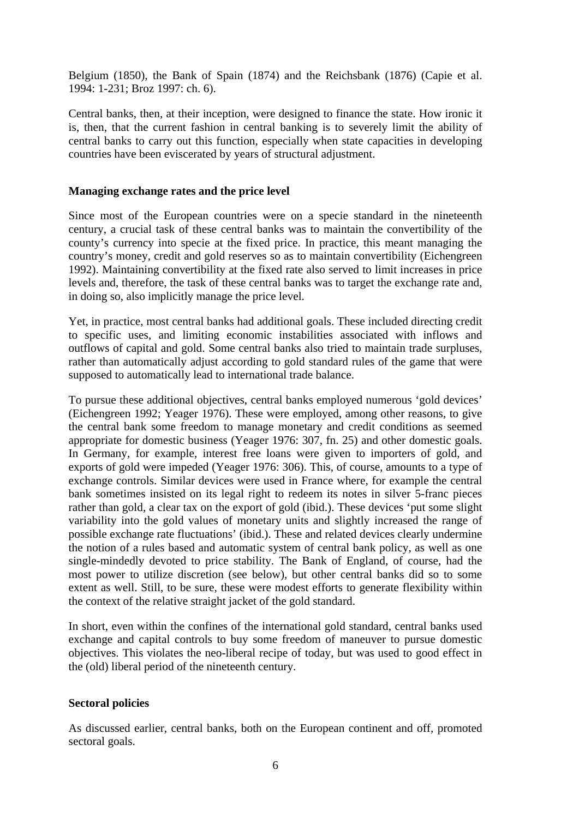Belgium (1850), the Bank of Spain (1874) and the Reichsbank (1876) (Capie et al. 1994: 1-231; Broz 1997: ch. 6).

Central banks, then, at their inception, were designed to finance the state. How ironic it is, then, that the current fashion in central banking is to severely limit the ability of central banks to carry out this function, especially when state capacities in developing countries have been eviscerated by years of structural adjustment.

#### **Managing exchange rates and the price level**

Since most of the European countries were on a specie standard in the nineteenth century, a crucial task of these central banks was to maintain the convertibility of the county's currency into specie at the fixed price. In practice, this meant managing the country's money, credit and gold reserves so as to maintain convertibility (Eichengreen 1992). Maintaining convertibility at the fixed rate also served to limit increases in price levels and, therefore, the task of these central banks was to target the exchange rate and, in doing so, also implicitly manage the price level.

Yet, in practice, most central banks had additional goals. These included directing credit to specific uses, and limiting economic instabilities associated with inflows and outflows of capital and gold. Some central banks also tried to maintain trade surpluses, rather than automatically adjust according to gold standard rules of the game that were supposed to automatically lead to international trade balance.

To pursue these additional objectives, central banks employed numerous 'gold devices' (Eichengreen 1992; Yeager 1976). These were employed, among other reasons, to give the central bank some freedom to manage monetary and credit conditions as seemed appropriate for domestic business (Yeager 1976: 307, fn. 25) and other domestic goals. In Germany, for example, interest free loans were given to importers of gold, and exports of gold were impeded (Yeager 1976: 306). This, of course, amounts to a type of exchange controls. Similar devices were used in France where, for example the central bank sometimes insisted on its legal right to redeem its notes in silver 5-franc pieces rather than gold, a clear tax on the export of gold (ibid.). These devices 'put some slight variability into the gold values of monetary units and slightly increased the range of possible exchange rate fluctuations' (ibid.). These and related devices clearly undermine the notion of a rules based and automatic system of central bank policy, as well as one single-mindedly devoted to price stability. The Bank of England, of course, had the most power to utilize discretion (see below), but other central banks did so to some extent as well. Still, to be sure, these were modest efforts to generate flexibility within the context of the relative straight jacket of the gold standard.

In short, even within the confines of the international gold standard, central banks used exchange and capital controls to buy some freedom of maneuver to pursue domestic objectives. This violates the neo-liberal recipe of today, but was used to good effect in the (old) liberal period of the nineteenth century.

#### **Sectoral policies**

As discussed earlier, central banks, both on the European continent and off, promoted sectoral goals.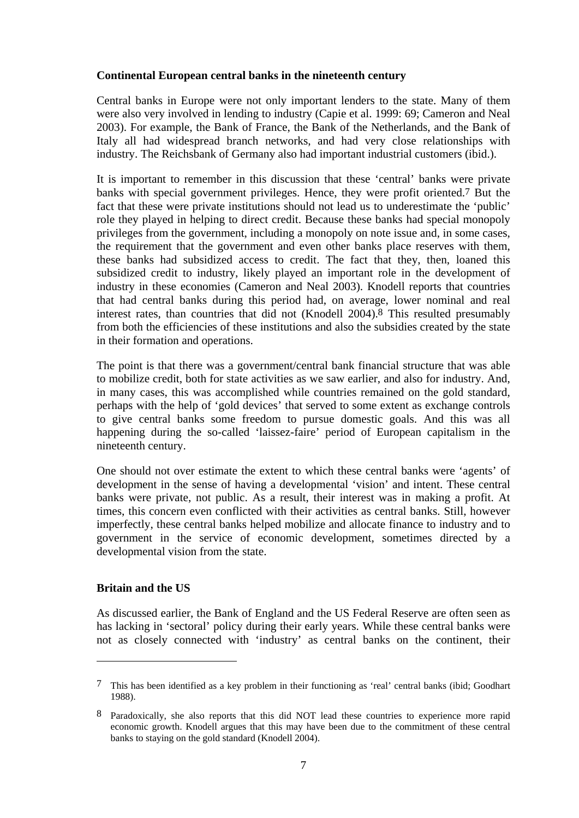#### **Continental European central banks in the nineteenth century**

Central banks in Europe were not only important lenders to the state. Many of them were also very involved in lending to industry (Capie et al. 1999: 69; Cameron and Neal 2003). For example, the Bank of France, the Bank of the Netherlands, and the Bank of Italy all had widespread branch networks, and had very close relationships with industry. The Reichsbank of Germany also had important industrial customers (ibid.).

It is important to remember in this discussion that these 'central' banks were private banks with special government privileges. Hence, they were profit oriented.7 But the fact that these were private institutions should not lead us to underestimate the 'public' role they played in helping to direct credit. Because these banks had special monopoly privileges from the government, including a monopoly on note issue and, in some cases, the requirement that the government and even other banks place reserves with them, these banks had subsidized access to credit. The fact that they, then, loaned this subsidized credit to industry, likely played an important role in the development of industry in these economies (Cameron and Neal 2003). Knodell reports that countries that had central banks during this period had, on average, lower nominal and real interest rates, than countries that did not (Knodell 2004).8 This resulted presumably from both the efficiencies of these institutions and also the subsidies created by the state in their formation and operations.

The point is that there was a government/central bank financial structure that was able to mobilize credit, both for state activities as we saw earlier, and also for industry. And, in many cases, this was accomplished while countries remained on the gold standard, perhaps with the help of 'gold devices' that served to some extent as exchange controls to give central banks some freedom to pursue domestic goals. And this was all happening during the so-called 'laissez-faire' period of European capitalism in the nineteenth century.

One should not over estimate the extent to which these central banks were 'agents' of development in the sense of having a developmental 'vision' and intent. These central banks were private, not public. As a result, their interest was in making a profit. At times, this concern even conflicted with their activities as central banks. Still, however imperfectly, these central banks helped mobilize and allocate finance to industry and to government in the service of economic development, sometimes directed by a developmental vision from the state.

#### **Britain and the US**

1

As discussed earlier, the Bank of England and the US Federal Reserve are often seen as has lacking in 'sectoral' policy during their early years. While these central banks were not as closely connected with 'industry' as central banks on the continent, their

<sup>7</sup> This has been identified as a key problem in their functioning as 'real' central banks (ibid; Goodhart 1988).

<sup>8</sup> Paradoxically, she also reports that this did NOT lead these countries to experience more rapid economic growth. Knodell argues that this may have been due to the commitment of these central banks to staying on the gold standard (Knodell 2004).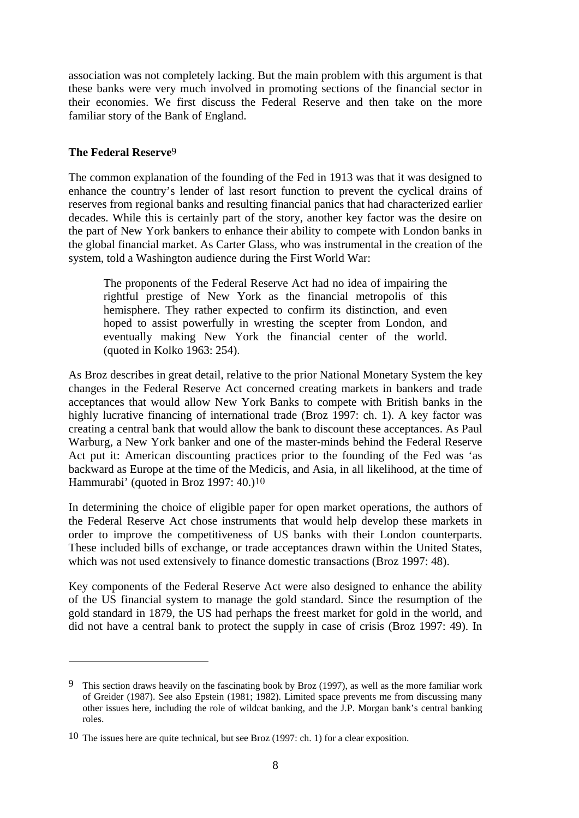association was not completely lacking. But the main problem with this argument is that these banks were very much involved in promoting sections of the financial sector in their economies. We first discuss the Federal Reserve and then take on the more familiar story of the Bank of England.

#### **The Federal Reserve**9

 $\overline{a}$ 

The common explanation of the founding of the Fed in 1913 was that it was designed to enhance the country's lender of last resort function to prevent the cyclical drains of reserves from regional banks and resulting financial panics that had characterized earlier decades. While this is certainly part of the story, another key factor was the desire on the part of New York bankers to enhance their ability to compete with London banks in the global financial market. As Carter Glass, who was instrumental in the creation of the system, told a Washington audience during the First World War:

The proponents of the Federal Reserve Act had no idea of impairing the rightful prestige of New York as the financial metropolis of this hemisphere. They rather expected to confirm its distinction, and even hoped to assist powerfully in wresting the scepter from London, and eventually making New York the financial center of the world. (quoted in Kolko 1963: 254).

As Broz describes in great detail, relative to the prior National Monetary System the key changes in the Federal Reserve Act concerned creating markets in bankers and trade acceptances that would allow New York Banks to compete with British banks in the highly lucrative financing of international trade (Broz 1997: ch. 1). A key factor was creating a central bank that would allow the bank to discount these acceptances. As Paul Warburg, a New York banker and one of the master-minds behind the Federal Reserve Act put it: American discounting practices prior to the founding of the Fed was 'as backward as Europe at the time of the Medicis, and Asia, in all likelihood, at the time of Hammurabi' (quoted in Broz 1997: 40.)10

In determining the choice of eligible paper for open market operations, the authors of the Federal Reserve Act chose instruments that would help develop these markets in order to improve the competitiveness of US banks with their London counterparts. These included bills of exchange, or trade acceptances drawn within the United States, which was not used extensively to finance domestic transactions (Broz 1997: 48).

Key components of the Federal Reserve Act were also designed to enhance the ability of the US financial system to manage the gold standard. Since the resumption of the gold standard in 1879, the US had perhaps the freest market for gold in the world, and did not have a central bank to protect the supply in case of crisis (Broz 1997: 49). In

This section draws heavily on the fascinating book by Broz (1997), as well as the more familiar work of Greider (1987). See also Epstein (1981; 1982). Limited space prevents me from discussing many other issues here, including the role of wildcat banking, and the J.P. Morgan bank's central banking roles.

<sup>10</sup> The issues here are quite technical, but see Broz (1997: ch. 1) for a clear exposition.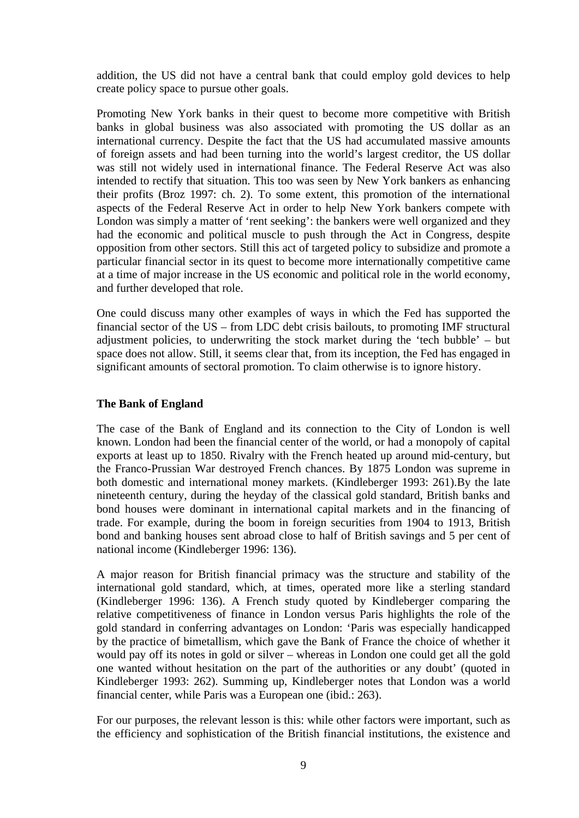addition, the US did not have a central bank that could employ gold devices to help create policy space to pursue other goals.

Promoting New York banks in their quest to become more competitive with British banks in global business was also associated with promoting the US dollar as an international currency. Despite the fact that the US had accumulated massive amounts of foreign assets and had been turning into the world's largest creditor, the US dollar was still not widely used in international finance. The Federal Reserve Act was also intended to rectify that situation. This too was seen by New York bankers as enhancing their profits (Broz 1997: ch. 2). To some extent, this promotion of the international aspects of the Federal Reserve Act in order to help New York bankers compete with London was simply a matter of 'rent seeking': the bankers were well organized and they had the economic and political muscle to push through the Act in Congress, despite opposition from other sectors. Still this act of targeted policy to subsidize and promote a particular financial sector in its quest to become more internationally competitive came at a time of major increase in the US economic and political role in the world economy, and further developed that role.

One could discuss many other examples of ways in which the Fed has supported the financial sector of the US – from LDC debt crisis bailouts, to promoting IMF structural adjustment policies, to underwriting the stock market during the 'tech bubble' – but space does not allow. Still, it seems clear that, from its inception, the Fed has engaged in significant amounts of sectoral promotion. To claim otherwise is to ignore history.

#### **The Bank of England**

The case of the Bank of England and its connection to the City of London is well known. London had been the financial center of the world, or had a monopoly of capital exports at least up to 1850. Rivalry with the French heated up around mid-century, but the Franco-Prussian War destroyed French chances. By 1875 London was supreme in both domestic and international money markets. (Kindleberger 1993: 261).By the late nineteenth century, during the heyday of the classical gold standard, British banks and bond houses were dominant in international capital markets and in the financing of trade. For example, during the boom in foreign securities from 1904 to 1913, British bond and banking houses sent abroad close to half of British savings and 5 per cent of national income (Kindleberger 1996: 136).

A major reason for British financial primacy was the structure and stability of the international gold standard, which, at times, operated more like a sterling standard (Kindleberger 1996: 136). A French study quoted by Kindleberger comparing the relative competitiveness of finance in London versus Paris highlights the role of the gold standard in conferring advantages on London: 'Paris was especially handicapped by the practice of bimetallism, which gave the Bank of France the choice of whether it would pay off its notes in gold or silver – whereas in London one could get all the gold one wanted without hesitation on the part of the authorities or any doubt' (quoted in Kindleberger 1993: 262). Summing up, Kindleberger notes that London was a world financial center, while Paris was a European one (ibid.: 263).

For our purposes, the relevant lesson is this: while other factors were important, such as the efficiency and sophistication of the British financial institutions, the existence and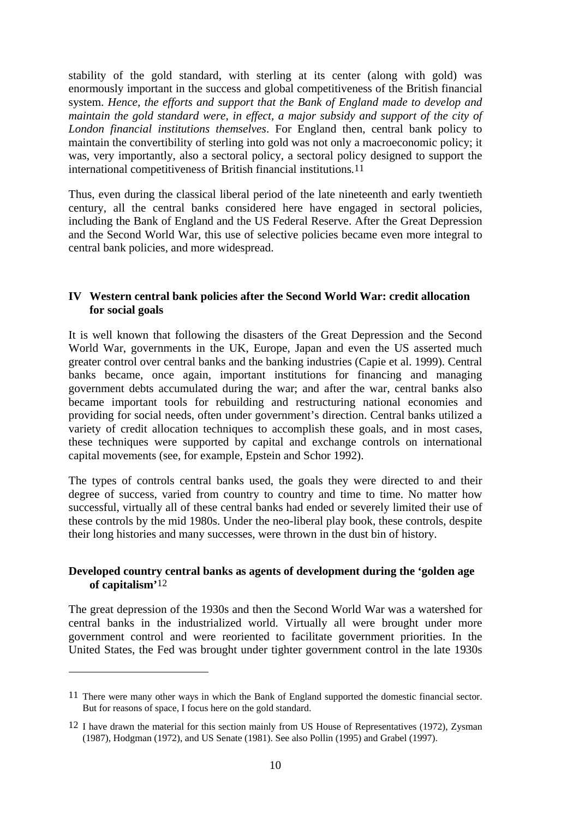stability of the gold standard, with sterling at its center (along with gold) was enormously important in the success and global competitiveness of the British financial system. *Hence, the efforts and support that the Bank of England made to develop and maintain the gold standard were, in effect, a major subsidy and support of the city of London financial institutions themselves*. For England then, central bank policy to maintain the convertibility of sterling into gold was not only a macroeconomic policy; it was, very importantly, also a sectoral policy, a sectoral policy designed to support the international competitiveness of British financial institutions*.*11

Thus, even during the classical liberal period of the late nineteenth and early twentieth century, all the central banks considered here have engaged in sectoral policies, including the Bank of England and the US Federal Reserve. After the Great Depression and the Second World War, this use of selective policies became even more integral to central bank policies, and more widespread.

## **IV Western central bank policies after the Second World War: credit allocation for social goals**

It is well known that following the disasters of the Great Depression and the Second World War, governments in the UK, Europe, Japan and even the US asserted much greater control over central banks and the banking industries (Capie et al. 1999). Central banks became, once again, important institutions for financing and managing government debts accumulated during the war; and after the war, central banks also became important tools for rebuilding and restructuring national economies and providing for social needs, often under government's direction. Central banks utilized a variety of credit allocation techniques to accomplish these goals, and in most cases, these techniques were supported by capital and exchange controls on international capital movements (see, for example, Epstein and Schor 1992).

The types of controls central banks used, the goals they were directed to and their degree of success, varied from country to country and time to time. No matter how successful, virtually all of these central banks had ended or severely limited their use of these controls by the mid 1980s. Under the neo-liberal play book, these controls, despite their long histories and many successes, were thrown in the dust bin of history.

### **Developed country central banks as agents of development during the 'golden age of capitalism'**12

The great depression of the 1930s and then the Second World War was a watershed for central banks in the industrialized world. Virtually all were brought under more government control and were reoriented to facilitate government priorities. In the United States, the Fed was brought under tighter government control in the late 1930s

 $\overline{a}$ 

<sup>11</sup> There were many other ways in which the Bank of England supported the domestic financial sector. But for reasons of space, I focus here on the gold standard.

<sup>12</sup> I have drawn the material for this section mainly from US House of Representatives (1972), Zysman (1987), Hodgman (1972), and US Senate (1981). See also Pollin (1995) and Grabel (1997).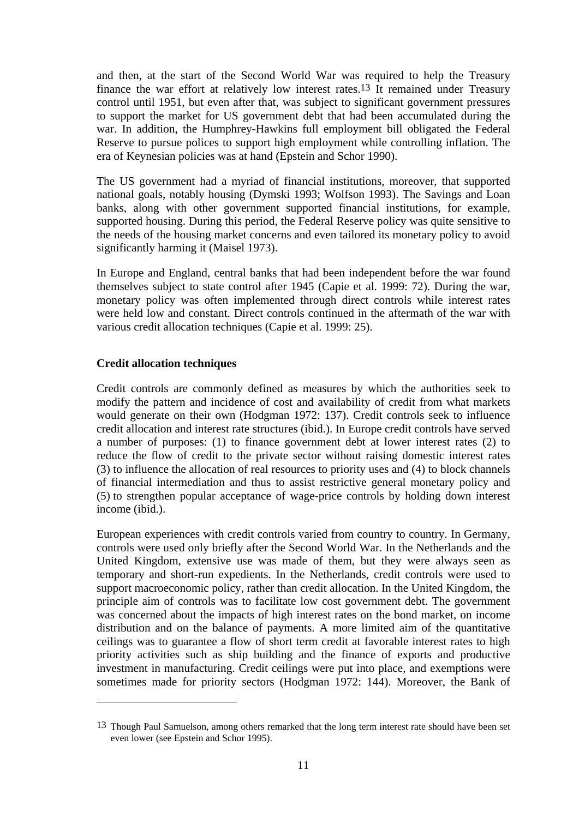and then, at the start of the Second World War was required to help the Treasury finance the war effort at relatively low interest rates.13 It remained under Treasury control until 1951, but even after that, was subject to significant government pressures to support the market for US government debt that had been accumulated during the war. In addition, the Humphrey-Hawkins full employment bill obligated the Federal Reserve to pursue polices to support high employment while controlling inflation. The era of Keynesian policies was at hand (Epstein and Schor 1990).

The US government had a myriad of financial institutions, moreover, that supported national goals, notably housing (Dymski 1993; Wolfson 1993). The Savings and Loan banks, along with other government supported financial institutions, for example, supported housing. During this period, the Federal Reserve policy was quite sensitive to the needs of the housing market concerns and even tailored its monetary policy to avoid significantly harming it (Maisel 1973).

In Europe and England, central banks that had been independent before the war found themselves subject to state control after 1945 (Capie et al. 1999: 72). During the war, monetary policy was often implemented through direct controls while interest rates were held low and constant. Direct controls continued in the aftermath of the war with various credit allocation techniques (Capie et al. 1999: 25).

### **Credit allocation techniques**

<u>.</u>

Credit controls are commonly defined as measures by which the authorities seek to modify the pattern and incidence of cost and availability of credit from what markets would generate on their own (Hodgman 1972: 137). Credit controls seek to influence credit allocation and interest rate structures (ibid.). In Europe credit controls have served a number of purposes: (1) to finance government debt at lower interest rates (2) to reduce the flow of credit to the private sector without raising domestic interest rates (3) to influence the allocation of real resources to priority uses and (4) to block channels of financial intermediation and thus to assist restrictive general monetary policy and (5) to strengthen popular acceptance of wage-price controls by holding down interest income (ibid.).

European experiences with credit controls varied from country to country. In Germany, controls were used only briefly after the Second World War. In the Netherlands and the United Kingdom, extensive use was made of them, but they were always seen as temporary and short-run expedients. In the Netherlands, credit controls were used to support macroeconomic policy, rather than credit allocation. In the United Kingdom, the principle aim of controls was to facilitate low cost government debt. The government was concerned about the impacts of high interest rates on the bond market, on income distribution and on the balance of payments. A more limited aim of the quantitative ceilings was to guarantee a flow of short term credit at favorable interest rates to high priority activities such as ship building and the finance of exports and productive investment in manufacturing. Credit ceilings were put into place, and exemptions were sometimes made for priority sectors (Hodgman 1972: 144). Moreover, the Bank of

<sup>13</sup> Though Paul Samuelson, among others remarked that the long term interest rate should have been set even lower (see Epstein and Schor 1995).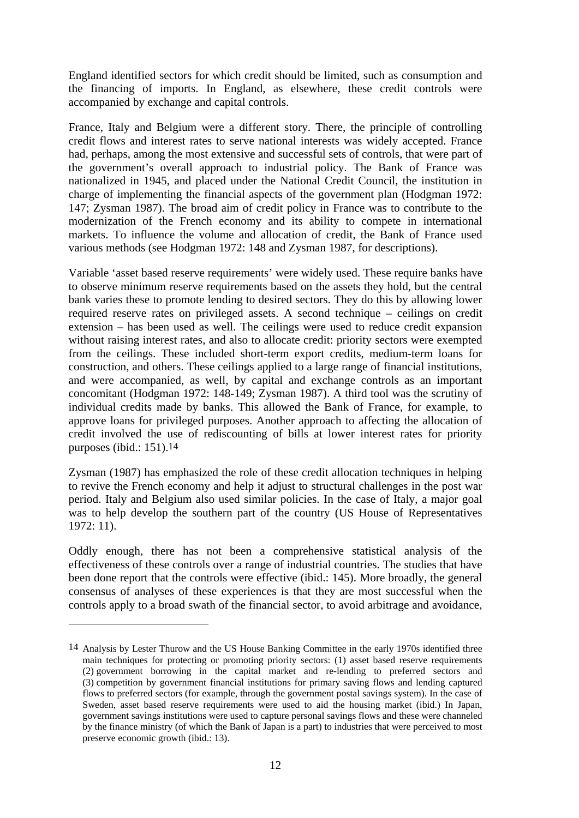England identified sectors for which credit should be limited, such as consumption and the financing of imports. In England, as elsewhere, these credit controls were accompanied by exchange and capital controls.

France, Italy and Belgium were a different story. There, the principle of controlling credit flows and interest rates to serve national interests was widely accepted. France had, perhaps, among the most extensive and successful sets of controls, that were part of the government's overall approach to industrial policy. The Bank of France was nationalized in 1945, and placed under the National Credit Council, the institution in charge of implementing the financial aspects of the government plan (Hodgman 1972: 147; Zysman 1987). The broad aim of credit policy in France was to contribute to the modernization of the French economy and its ability to compete in international markets. To influence the volume and allocation of credit, the Bank of France used various methods (see Hodgman 1972: 148 and Zysman 1987, for descriptions).

Variable 'asset based reserve requirements' were widely used. These require banks have to observe minimum reserve requirements based on the assets they hold, but the central bank varies these to promote lending to desired sectors. They do this by allowing lower required reserve rates on privileged assets. A second technique – ceilings on credit extension – has been used as well. The ceilings were used to reduce credit expansion without raising interest rates, and also to allocate credit: priority sectors were exempted from the ceilings. These included short-term export credits, medium-term loans for construction, and others. These ceilings applied to a large range of financial institutions, and were accompanied, as well, by capital and exchange controls as an important concomitant (Hodgman 1972: 148-149; Zysman 1987). A third tool was the scrutiny of individual credits made by banks. This allowed the Bank of France, for example, to approve loans for privileged purposes. Another approach to affecting the allocation of credit involved the use of rediscounting of bills at lower interest rates for priority purposes (ibid.: 151).14

Zysman (1987) has emphasized the role of these credit allocation techniques in helping to revive the French economy and help it adjust to structural challenges in the post war period. Italy and Belgium also used similar policies. In the case of Italy, a major goal was to help develop the southern part of the country (US House of Representatives 1972: 11).

Oddly enough, there has not been a comprehensive statistical analysis of the effectiveness of these controls over a range of industrial countries. The studies that have been done report that the controls were effective (ibid.: 145). More broadly, the general consensus of analyses of these experiences is that they are most successful when the controls apply to a broad swath of the financial sector, to avoid arbitrage and avoidance,

 $\overline{a}$ 

<sup>14</sup> Analysis by Lester Thurow and the US House Banking Committee in the early 1970s identified three main techniques for protecting or promoting priority sectors: (1) asset based reserve requirements (2) government borrowing in the capital market and re-lending to preferred sectors and (3) competition by government financial institutions for primary saving flows and lending captured flows to preferred sectors (for example, through the government postal savings system). In the case of Sweden, asset based reserve requirements were used to aid the housing market (ibid.) In Japan, government savings institutions were used to capture personal savings flows and these were channeled by the finance ministry (of which the Bank of Japan is a part) to industries that were perceived to most preserve economic growth (ibid.: 13).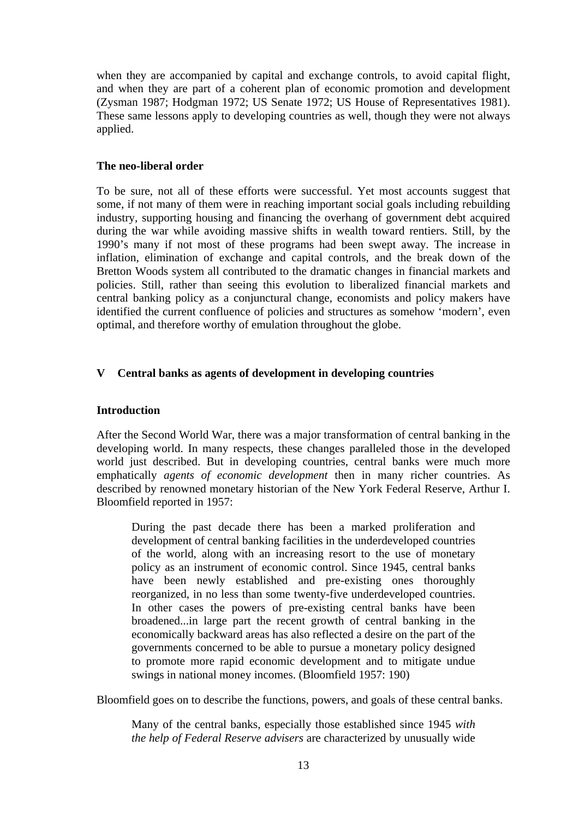when they are accompanied by capital and exchange controls, to avoid capital flight, and when they are part of a coherent plan of economic promotion and development (Zysman 1987; Hodgman 1972; US Senate 1972; US House of Representatives 1981). These same lessons apply to developing countries as well, though they were not always applied.

### **The neo-liberal order**

To be sure, not all of these efforts were successful. Yet most accounts suggest that some, if not many of them were in reaching important social goals including rebuilding industry, supporting housing and financing the overhang of government debt acquired during the war while avoiding massive shifts in wealth toward rentiers. Still, by the 1990's many if not most of these programs had been swept away. The increase in inflation, elimination of exchange and capital controls, and the break down of the Bretton Woods system all contributed to the dramatic changes in financial markets and policies. Still, rather than seeing this evolution to liberalized financial markets and central banking policy as a conjunctural change, economists and policy makers have identified the current confluence of policies and structures as somehow 'modern', even optimal, and therefore worthy of emulation throughout the globe.

### **V Central banks as agents of development in developing countries**

#### **Introduction**

After the Second World War, there was a major transformation of central banking in the developing world. In many respects, these changes paralleled those in the developed world just described. But in developing countries, central banks were much more emphatically *agents of economic development* then in many richer countries. As described by renowned monetary historian of the New York Federal Reserve, Arthur I. Bloomfield reported in 1957:

During the past decade there has been a marked proliferation and development of central banking facilities in the underdeveloped countries of the world, along with an increasing resort to the use of monetary policy as an instrument of economic control. Since 1945, central banks have been newly established and pre-existing ones thoroughly reorganized, in no less than some twenty-five underdeveloped countries. In other cases the powers of pre-existing central banks have been broadened...in large part the recent growth of central banking in the economically backward areas has also reflected a desire on the part of the governments concerned to be able to pursue a monetary policy designed to promote more rapid economic development and to mitigate undue swings in national money incomes. (Bloomfield 1957: 190)

Bloomfield goes on to describe the functions, powers, and goals of these central banks.

Many of the central banks, especially those established since 1945 *with the help of Federal Reserve advisers* are characterized by unusually wide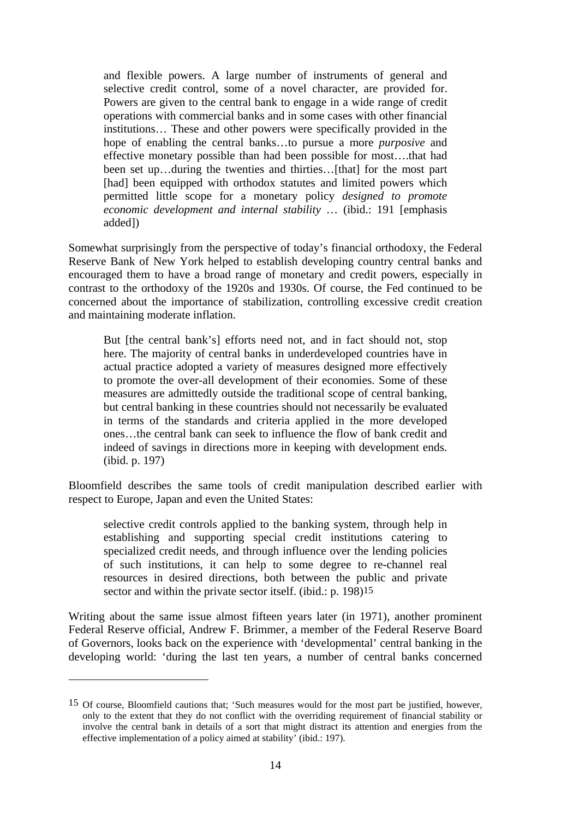and flexible powers. A large number of instruments of general and selective credit control, some of a novel character, are provided for. Powers are given to the central bank to engage in a wide range of credit operations with commercial banks and in some cases with other financial institutions… These and other powers were specifically provided in the hope of enabling the central banks…to pursue a more *purposive* and effective monetary possible than had been possible for most….that had been set up…during the twenties and thirties…[that] for the most part [had] been equipped with orthodox statutes and limited powers which permitted little scope for a monetary policy *designed to promote economic development and internal stability* … (ibid.: 191 [emphasis added])

Somewhat surprisingly from the perspective of today's financial orthodoxy, the Federal Reserve Bank of New York helped to establish developing country central banks and encouraged them to have a broad range of monetary and credit powers, especially in contrast to the orthodoxy of the 1920s and 1930s. Of course, the Fed continued to be concerned about the importance of stabilization, controlling excessive credit creation and maintaining moderate inflation.

But [the central bank's] efforts need not, and in fact should not, stop here. The majority of central banks in underdeveloped countries have in actual practice adopted a variety of measures designed more effectively to promote the over-all development of their economies. Some of these measures are admittedly outside the traditional scope of central banking, but central banking in these countries should not necessarily be evaluated in terms of the standards and criteria applied in the more developed ones…the central bank can seek to influence the flow of bank credit and indeed of savings in directions more in keeping with development ends. (ibid. p. 197)

Bloomfield describes the same tools of credit manipulation described earlier with respect to Europe, Japan and even the United States:

selective credit controls applied to the banking system, through help in establishing and supporting special credit institutions catering to specialized credit needs, and through influence over the lending policies of such institutions, it can help to some degree to re-channel real resources in desired directions, both between the public and private sector and within the private sector itself. (ibid.: p. 198)<sup>15</sup>

Writing about the same issue almost fifteen years later (in 1971), another prominent Federal Reserve official, Andrew F. Brimmer, a member of the Federal Reserve Board of Governors, looks back on the experience with 'developmental' central banking in the developing world: 'during the last ten years, a number of central banks concerned

 $\overline{a}$ 

<sup>15</sup> Of course, Bloomfield cautions that; 'Such measures would for the most part be justified, however, only to the extent that they do not conflict with the overriding requirement of financial stability or involve the central bank in details of a sort that might distract its attention and energies from the effective implementation of a policy aimed at stability' (ibid.: 197).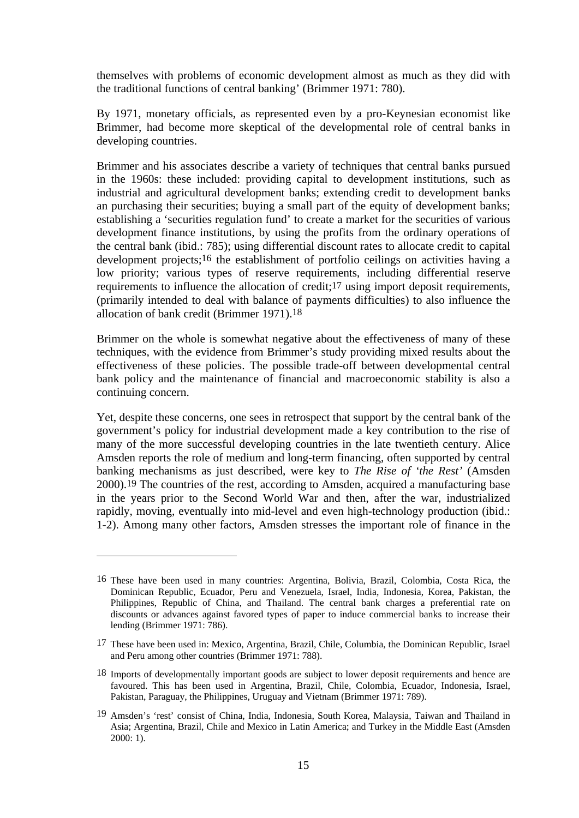themselves with problems of economic development almost as much as they did with the traditional functions of central banking' (Brimmer 1971: 780).

By 1971, monetary officials, as represented even by a pro-Keynesian economist like Brimmer, had become more skeptical of the developmental role of central banks in developing countries.

Brimmer and his associates describe a variety of techniques that central banks pursued in the 1960s: these included: providing capital to development institutions, such as industrial and agricultural development banks; extending credit to development banks an purchasing their securities; buying a small part of the equity of development banks; establishing a 'securities regulation fund' to create a market for the securities of various development finance institutions, by using the profits from the ordinary operations of the central bank (ibid.: 785); using differential discount rates to allocate credit to capital development projects;<sup>16</sup> the establishment of portfolio ceilings on activities having a low priority; various types of reserve requirements, including differential reserve requirements to influence the allocation of credit;17 using import deposit requirements, (primarily intended to deal with balance of payments difficulties) to also influence the allocation of bank credit (Brimmer 1971).18

Brimmer on the whole is somewhat negative about the effectiveness of many of these techniques, with the evidence from Brimmer's study providing mixed results about the effectiveness of these policies. The possible trade-off between developmental central bank policy and the maintenance of financial and macroeconomic stability is also a continuing concern.

Yet, despite these concerns, one sees in retrospect that support by the central bank of the government's policy for industrial development made a key contribution to the rise of many of the more successful developing countries in the late twentieth century. Alice Amsden reports the role of medium and long-term financing, often supported by central banking mechanisms as just described, were key to *The Rise of 'the Rest'* (Amsden 2000).19 The countries of the rest, according to Amsden, acquired a manufacturing base in the years prior to the Second World War and then, after the war, industrialized rapidly, moving, eventually into mid-level and even high-technology production (ibid.: 1-2). Among many other factors, Amsden stresses the important role of finance in the

1

<sup>16</sup> These have been used in many countries: Argentina, Bolivia, Brazil, Colombia, Costa Rica, the Dominican Republic, Ecuador, Peru and Venezuela, Israel, India, Indonesia, Korea, Pakistan, the Philippines, Republic of China, and Thailand. The central bank charges a preferential rate on discounts or advances against favored types of paper to induce commercial banks to increase their lending (Brimmer 1971: 786).

<sup>17</sup> These have been used in: Mexico, Argentina, Brazil, Chile, Columbia, the Dominican Republic, Israel and Peru among other countries (Brimmer 1971: 788).

<sup>18</sup> Imports of developmentally important goods are subject to lower deposit requirements and hence are favoured. This has been used in Argentina, Brazil, Chile, Colombia, Ecuador, Indonesia, Israel, Pakistan, Paraguay, the Philippines, Uruguay and Vietnam (Brimmer 1971: 789).

<sup>19</sup> Amsden's 'rest' consist of China, India, Indonesia, South Korea, Malaysia, Taiwan and Thailand in Asia; Argentina, Brazil, Chile and Mexico in Latin America; and Turkey in the Middle East (Amsden 2000: 1).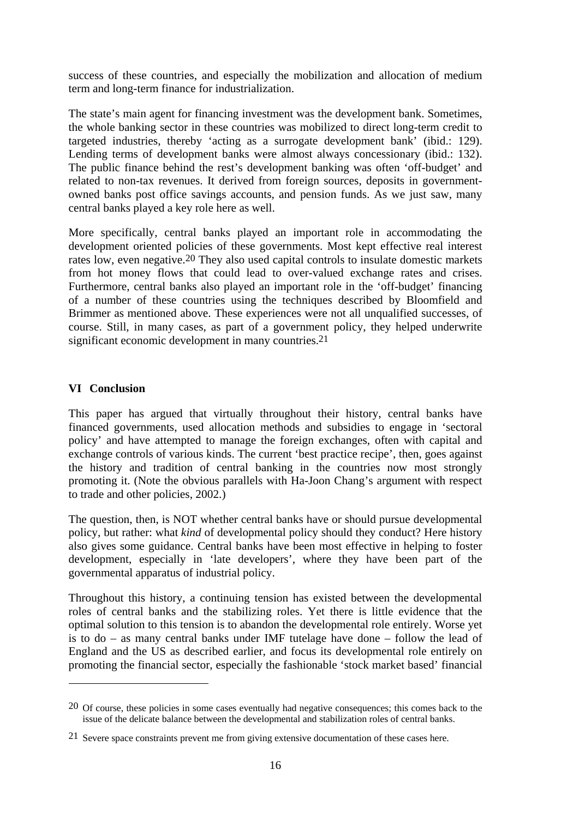success of these countries, and especially the mobilization and allocation of medium term and long-term finance for industrialization.

The state's main agent for financing investment was the development bank. Sometimes, the whole banking sector in these countries was mobilized to direct long-term credit to targeted industries, thereby 'acting as a surrogate development bank' (ibid.: 129). Lending terms of development banks were almost always concessionary (ibid.: 132). The public finance behind the rest's development banking was often 'off-budget' and related to non-tax revenues. It derived from foreign sources, deposits in governmentowned banks post office savings accounts, and pension funds. As we just saw, many central banks played a key role here as well.

More specifically, central banks played an important role in accommodating the development oriented policies of these governments. Most kept effective real interest rates low, even negative.20 They also used capital controls to insulate domestic markets from hot money flows that could lead to over-valued exchange rates and crises. Furthermore, central banks also played an important role in the 'off-budget' financing of a number of these countries using the techniques described by Bloomfield and Brimmer as mentioned above. These experiences were not all unqualified successes, of course. Still, in many cases, as part of a government policy, they helped underwrite significant economic development in many countries.21

### **VI Conclusion**

This paper has argued that virtually throughout their history, central banks have financed governments, used allocation methods and subsidies to engage in 'sectoral policy' and have attempted to manage the foreign exchanges, often with capital and exchange controls of various kinds. The current 'best practice recipe', then, goes against the history and tradition of central banking in the countries now most strongly promoting it. (Note the obvious parallels with Ha-Joon Chang's argument with respect to trade and other policies, 2002.)

The question, then, is NOT whether central banks have or should pursue developmental policy, but rather: what *kind* of developmental policy should they conduct? Here history also gives some guidance. Central banks have been most effective in helping to foster development, especially in 'late developers', where they have been part of the governmental apparatus of industrial policy.

Throughout this history, a continuing tension has existed between the developmental roles of central banks and the stabilizing roles. Yet there is little evidence that the optimal solution to this tension is to abandon the developmental role entirely. Worse yet is to do – as many central banks under IMF tutelage have done – follow the lead of England and the US as described earlier, and focus its developmental role entirely on promoting the financial sector, especially the fashionable 'stock market based' financial

<sup>20</sup> Of course, these policies in some cases eventually had negative consequences; this comes back to the issue of the delicate balance between the developmental and stabilization roles of central banks.

<sup>21</sup> Severe space constraints prevent me from giving extensive documentation of these cases here.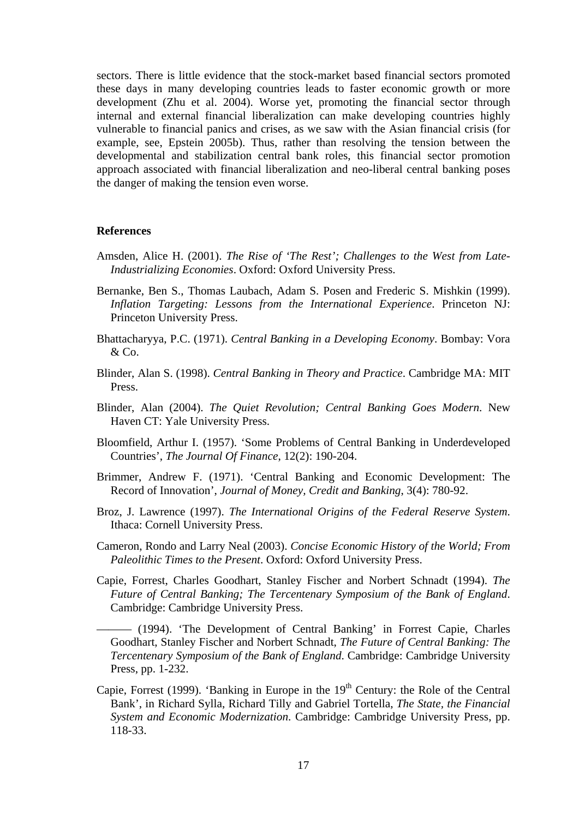sectors. There is little evidence that the stock-market based financial sectors promoted these days in many developing countries leads to faster economic growth or more development (Zhu et al. 2004). Worse yet, promoting the financial sector through internal and external financial liberalization can make developing countries highly vulnerable to financial panics and crises, as we saw with the Asian financial crisis (for example, see, Epstein 2005b). Thus, rather than resolving the tension between the developmental and stabilization central bank roles, this financial sector promotion approach associated with financial liberalization and neo-liberal central banking poses the danger of making the tension even worse.

#### **References**

- Amsden, Alice H. (2001). *The Rise of 'The Rest'; Challenges to the West from Late-Industrializing Economies*. Oxford: Oxford University Press.
- Bernanke, Ben S., Thomas Laubach, Adam S. Posen and Frederic S. Mishkin (1999). *Inflation Targeting: Lessons from the International Experience*. Princeton NJ: Princeton University Press.
- Bhattacharyya, P.C. (1971). *Central Banking in a Developing Economy*. Bombay: Vora  $&Co.$
- Blinder, Alan S. (1998). *Central Banking in Theory and Practice*. Cambridge MA: MIT Press.
- Blinder, Alan (2004). *The Quiet Revolution; Central Banking Goes Modern*. New Haven CT: Yale University Press.
- Bloomfield, Arthur I. (1957). 'Some Problems of Central Banking in Underdeveloped Countries', *The Journal Of Finance*, 12(2): 190-204.
- Brimmer, Andrew F. (1971). 'Central Banking and Economic Development: The Record of Innovation', *Journal of Money, Credit and Banking*, 3(4): 780-92.
- Broz, J. Lawrence (1997). *The International Origins of the Federal Reserve System*. Ithaca: Cornell University Press.
- Cameron, Rondo and Larry Neal (2003). *Concise Economic History of the World; From Paleolithic Times to the Present*. Oxford: Oxford University Press.
- Capie, Forrest, Charles Goodhart, Stanley Fischer and Norbert Schnadt (1994). *The Future of Central Banking; The Tercentenary Symposium of the Bank of England*. Cambridge: Cambridge University Press.
	- ——— (1994). 'The Development of Central Banking' in Forrest Capie, Charles Goodhart, Stanley Fischer and Norbert Schnadt, *The Future of Central Banking: The Tercentenary Symposium of the Bank of England*. Cambridge: Cambridge University Press, pp. 1-232.
- Capie, Forrest (1999). 'Banking in Europe in the  $19<sup>th</sup>$  Century: the Role of the Central Bank', in Richard Sylla, Richard Tilly and Gabriel Tortella, *The State, the Financial System and Economic Modernization*. Cambridge: Cambridge University Press, pp. 118-33.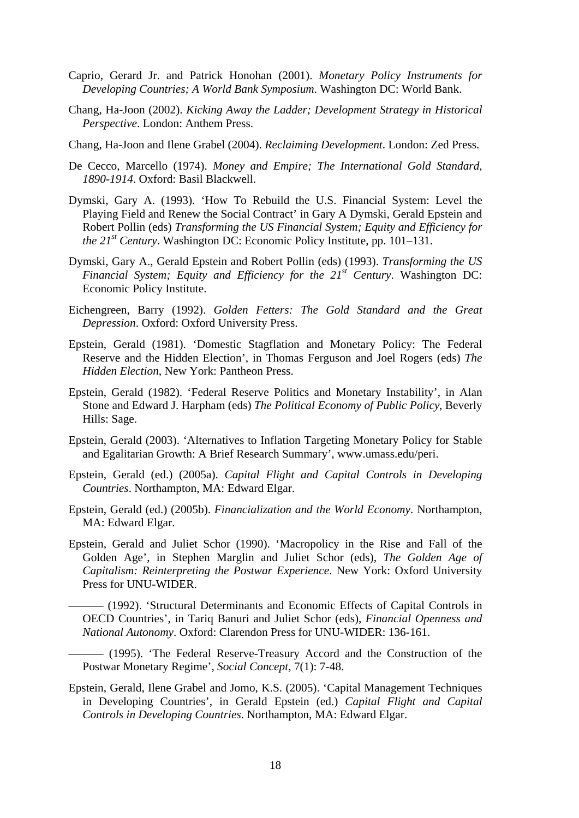- Caprio, Gerard Jr. and Patrick Honohan (2001). *Monetary Policy Instruments for Developing Countries; A World Bank Symposium*. Washington DC: World Bank.
- Chang, Ha-Joon (2002). *Kicking Away the Ladder; Development Strategy in Historical Perspective*. London: Anthem Press.
- Chang, Ha-Joon and Ilene Grabel (2004). *Reclaiming Development*. London: Zed Press.
- De Cecco, Marcello (1974). *Money and Empire; The International Gold Standard, 1890-1914*. Oxford: Basil Blackwell.
- Dymski, Gary A. (1993). 'How To Rebuild the U.S. Financial System: Level the Playing Field and Renew the Social Contract' in Gary A Dymski, Gerald Epstein and Robert Pollin (eds) *Transforming the US Financial System; Equity and Efficiency for the 21st Century*. Washington DC: Economic Policy Institute, pp. 101–131.
- Dymski, Gary A., Gerald Epstein and Robert Pollin (eds) (1993). *Transforming the US Financial System; Equity and Efficiency for the 21<sup>st</sup> Century. Washington DC:* Economic Policy Institute.
- Eichengreen, Barry (1992). *Golden Fetters: The Gold Standard and the Great Depression*. Oxford: Oxford University Press.
- Epstein, Gerald (1981). 'Domestic Stagflation and Monetary Policy: The Federal Reserve and the Hidden Election', in Thomas Ferguson and Joel Rogers (eds) *The Hidden Election*, New York: Pantheon Press.
- Epstein, Gerald (1982). 'Federal Reserve Politics and Monetary Instability', in Alan Stone and Edward J. Harpham (eds) *The Political Economy of Public Policy*, Beverly Hills: Sage.
- Epstein, Gerald (2003). 'Alternatives to Inflation Targeting Monetary Policy for Stable and Egalitarian Growth: A Brief Research Summary', www.umass.edu/peri.
- Epstein, Gerald (ed.) (2005a). *Capital Flight and Capital Controls in Developing Countries*. Northampton, MA: Edward Elgar.
- Epstein, Gerald (ed.) (2005b). *Financialization and the World Economy*. Northampton, MA: Edward Elgar.
- Epstein, Gerald and Juliet Schor (1990). 'Macropolicy in the Rise and Fall of the Golden Age', in Stephen Marglin and Juliet Schor (eds), *The Golden Age of Capitalism: Reinterpreting the Postwar Experience*. New York: Oxford University Press for UNU-WIDER.
	- ——— (1992). 'Structural Determinants and Economic Effects of Capital Controls in OECD Countries', in Tariq Banuri and Juliet Schor (eds), *Financial Openness and National Autonomy*. Oxford: Clarendon Press for UNU-WIDER: 136-161.
	- ——— (1995). 'The Federal Reserve-Treasury Accord and the Construction of the Postwar Monetary Regime', *Social Concept*, 7(1): 7-48.
- Epstein, Gerald, Ilene Grabel and Jomo, K.S. (2005). 'Capital Management Techniques in Developing Countries', in Gerald Epstein (ed.) *Capital Flight and Capital Controls in Developing Countries*. Northampton, MA: Edward Elgar.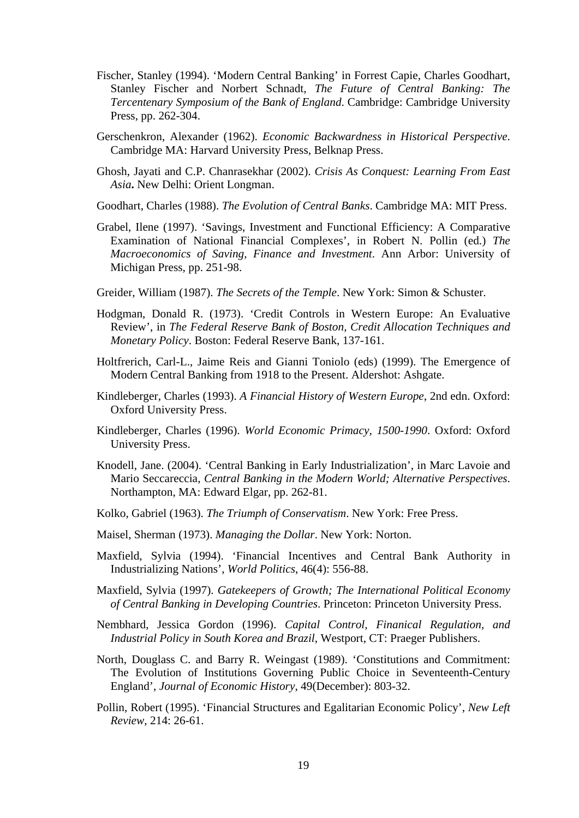- Fischer, Stanley (1994). 'Modern Central Banking' in Forrest Capie, Charles Goodhart, Stanley Fischer and Norbert Schnadt, *The Future of Central Banking: The Tercentenary Symposium of the Bank of England*. Cambridge: Cambridge University Press, pp. 262-304.
- Gerschenkron, Alexander (1962). *Economic Backwardness in Historical Perspective*. Cambridge MA: Harvard University Press, Belknap Press.
- Ghosh, Jayati and C.P. Chanrasekhar (2002). *Crisis As Conquest: Learning From East Asia***.** New Delhi: Orient Longman.
- Goodhart, Charles (1988). *The Evolution of Central Banks*. Cambridge MA: MIT Press.
- Grabel, Ilene (1997). 'Savings, Investment and Functional Efficiency: A Comparative Examination of National Financial Complexes', in Robert N. Pollin (ed.) *The Macroeconomics of Saving, Finance and Investment*. Ann Arbor: University of Michigan Press, pp. 251-98.
- Greider, William (1987). *The Secrets of the Temple*. New York: Simon & Schuster.
- Hodgman, Donald R. (1973). 'Credit Controls in Western Europe: An Evaluative Review', in *The Federal Reserve Bank of Boston, Credit Allocation Techniques and Monetary Policy*. Boston: Federal Reserve Bank, 137-161.
- Holtfrerich, Carl-L., Jaime Reis and Gianni Toniolo (eds) (1999). The Emergence of Modern Central Banking from 1918 to the Present. Aldershot: Ashgate.
- Kindleberger, Charles (1993). *A Financial History of Western Europe*, 2nd edn. Oxford: Oxford University Press.
- Kindleberger, Charles (1996). *World Economic Primacy, 1500-1990*. Oxford: Oxford University Press.
- Knodell, Jane. (2004). 'Central Banking in Early Industrialization', in Marc Lavoie and Mario Seccareccia, *Central Banking in the Modern World; Alternative Perspectives*. Northampton, MA: Edward Elgar, pp. 262-81.
- Kolko, Gabriel (1963). *The Triumph of Conservatism*. New York: Free Press.
- Maisel, Sherman (1973). *Managing the Dollar*. New York: Norton.
- Maxfield, Sylvia (1994). 'Financial Incentives and Central Bank Authority in Industrializing Nations', *World Politics*, 46(4): 556-88.
- Maxfield, Sylvia (1997). *Gatekeepers of Growth; The International Political Economy of Central Banking in Developing Countries*. Princeton: Princeton University Press.
- Nembhard, Jessica Gordon (1996). *Capital Control, Finanical Regulation, and Industrial Policy in South Korea and Brazil*, Westport, CT: Praeger Publishers.
- North, Douglass C. and Barry R. Weingast (1989). 'Constitutions and Commitment: The Evolution of Institutions Governing Public Choice in Seventeenth-Century England', *Journal of Economic History*, 49(December): 803-32.
- Pollin, Robert (1995). 'Financial Structures and Egalitarian Economic Policy', *New Left Review*, 214: 26-61.